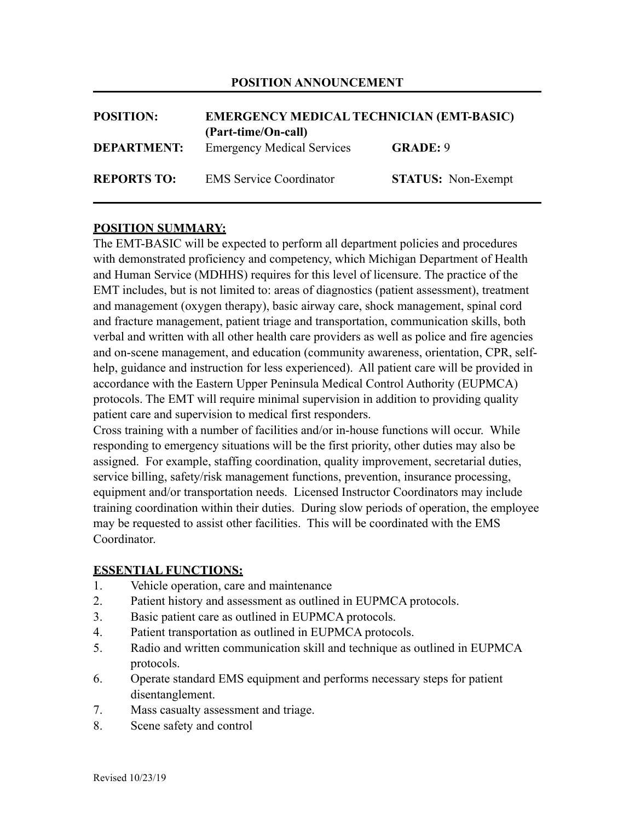### **POSITION ANNOUNCEMENT**

| <b>POSITION:</b>   | <b>EMERGENCY MEDICAL TECHNICIAN (EMT-BASIC)</b><br>(Part-time/On-call) |                           |
|--------------------|------------------------------------------------------------------------|---------------------------|
| <b>DEPARTMENT:</b> | <b>Emergency Medical Services</b>                                      | <b>GRADE: 9</b>           |
| <b>REPORTS TO:</b> | <b>EMS</b> Service Coordinator                                         | <b>STATUS:</b> Non-Exempt |

## **POSITION SUMMARY:**

The EMT-BASIC will be expected to perform all department policies and procedures with demonstrated proficiency and competency, which Michigan Department of Health and Human Service (MDHHS) requires for this level of licensure. The practice of the EMT includes, but is not limited to: areas of diagnostics (patient assessment), treatment and management (oxygen therapy), basic airway care, shock management, spinal cord and fracture management, patient triage and transportation, communication skills, both verbal and written with all other health care providers as well as police and fire agencies and on-scene management, and education (community awareness, orientation, CPR, selfhelp, guidance and instruction for less experienced). All patient care will be provided in accordance with the Eastern Upper Peninsula Medical Control Authority (EUPMCA) protocols. The EMT will require minimal supervision in addition to providing quality patient care and supervision to medical first responders.

Cross training with a number of facilities and/or in-house functions will occur. While responding to emergency situations will be the first priority, other duties may also be assigned. For example, staffing coordination, quality improvement, secretarial duties, service billing, safety/risk management functions, prevention, insurance processing, equipment and/or transportation needs. Licensed Instructor Coordinators may include training coordination within their duties. During slow periods of operation, the employee may be requested to assist other facilities. This will be coordinated with the EMS Coordinator.

#### **ESSENTIAL FUNCTIONS:**

- 1. Vehicle operation, care and maintenance
- 2. Patient history and assessment as outlined in EUPMCA protocols.
- 3. Basic patient care as outlined in EUPMCA protocols.
- 4. Patient transportation as outlined in EUPMCA protocols.
- 5. Radio and written communication skill and technique as outlined in EUPMCA protocols.
- 6. Operate standard EMS equipment and performs necessary steps for patient disentanglement.
- 7. Mass casualty assessment and triage.
- 8. Scene safety and control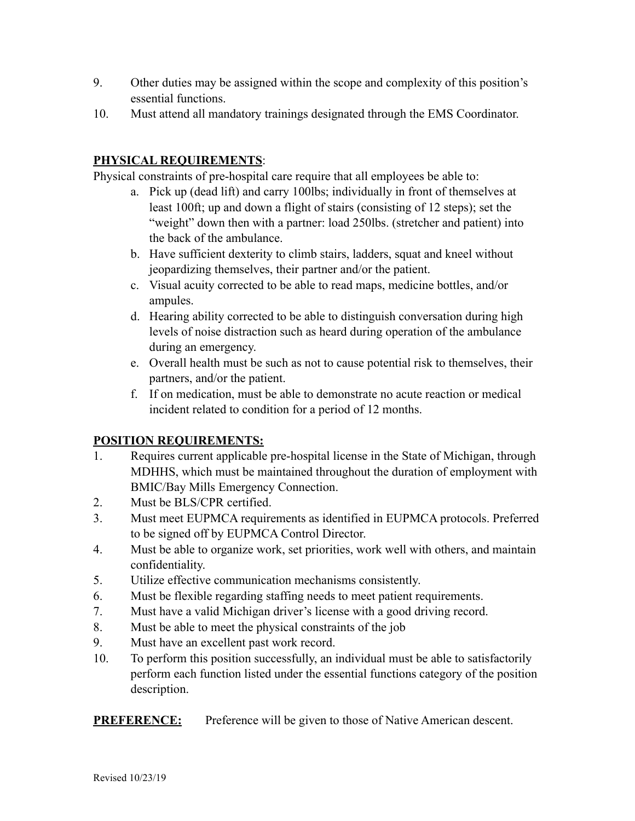- 9. Other duties may be assigned within the scope and complexity of this position's essential functions.
- 10. Must attend all mandatory trainings designated through the EMS Coordinator.

## **PHYSICAL REQUIREMENTS**:

Physical constraints of pre-hospital care require that all employees be able to:

- a. Pick up (dead lift) and carry 100lbs; individually in front of themselves at least 100ft; up and down a flight of stairs (consisting of 12 steps); set the "weight" down then with a partner: load 250lbs. (stretcher and patient) into the back of the ambulance.
- b. Have sufficient dexterity to climb stairs, ladders, squat and kneel without jeopardizing themselves, their partner and/or the patient.
- c. Visual acuity corrected to be able to read maps, medicine bottles, and/or ampules.
- d. Hearing ability corrected to be able to distinguish conversation during high levels of noise distraction such as heard during operation of the ambulance during an emergency.
- e. Overall health must be such as not to cause potential risk to themselves, their partners, and/or the patient.
- f. If on medication, must be able to demonstrate no acute reaction or medical incident related to condition for a period of 12 months.

## **POSITION REQUIREMENTS:**

- 1. Requires current applicable pre-hospital license in the State of Michigan, through MDHHS, which must be maintained throughout the duration of employment with BMIC/Bay Mills Emergency Connection.
- 2. Must be BLS/CPR certified.
- 3. Must meet EUPMCA requirements as identified in EUPMCA protocols. Preferred to be signed off by EUPMCA Control Director.
- 4. Must be able to organize work, set priorities, work well with others, and maintain confidentiality.
- 5. Utilize effective communication mechanisms consistently.
- 6. Must be flexible regarding staffing needs to meet patient requirements.
- 7. Must have a valid Michigan driver's license with a good driving record.
- 8. Must be able to meet the physical constraints of the job
- 9. Must have an excellent past work record.
- 10. To perform this position successfully, an individual must be able to satisfactorily perform each function listed under the essential functions category of the position description.

**PREFERENCE:** Preference will be given to those of Native American descent.